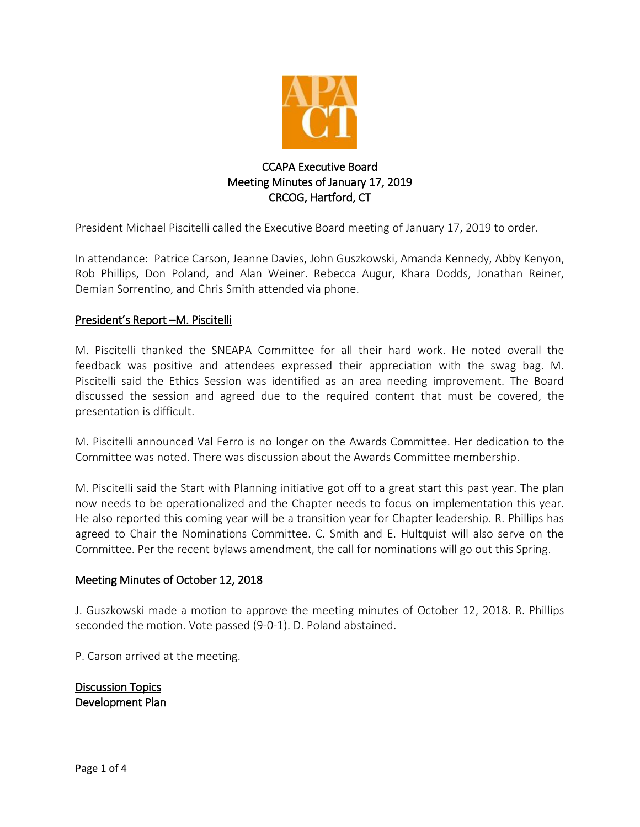

# CCAPA Executive Board Meeting Minutes of January 17, 2019 CRCOG, Hartford, CT

President Michael Piscitelli called the Executive Board meeting of January 17, 2019 to order.

In attendance: Patrice Carson, Jeanne Davies, John Guszkowski, Amanda Kennedy, Abby Kenyon, Rob Phillips, Don Poland, and Alan Weiner. Rebecca Augur, Khara Dodds, Jonathan Reiner, Demian Sorrentino, and Chris Smith attended via phone.

### President's Report –M. Piscitelli

M. Piscitelli thanked the SNEAPA Committee for all their hard work. He noted overall the feedback was positive and attendees expressed their appreciation with the swag bag. M. Piscitelli said the Ethics Session was identified as an area needing improvement. The Board discussed the session and agreed due to the required content that must be covered, the presentation is difficult.

M. Piscitelli announced Val Ferro is no longer on the Awards Committee. Her dedication to the Committee was noted. There was discussion about the Awards Committee membership.

M. Piscitelli said the Start with Planning initiative got off to a great start this past year. The plan now needs to be operationalized and the Chapter needs to focus on implementation this year. He also reported this coming year will be a transition year for Chapter leadership. R. Phillips has agreed to Chair the Nominations Committee. C. Smith and E. Hultquist will also serve on the Committee. Per the recent bylaws amendment, the call for nominations will go out this Spring.

#### Meeting Minutes of October 12, 2018

J. Guszkowski made a motion to approve the meeting minutes of October 12, 2018. R. Phillips seconded the motion. Vote passed (9-0-1). D. Poland abstained.

P. Carson arrived at the meeting.

Discussion Topics Development Plan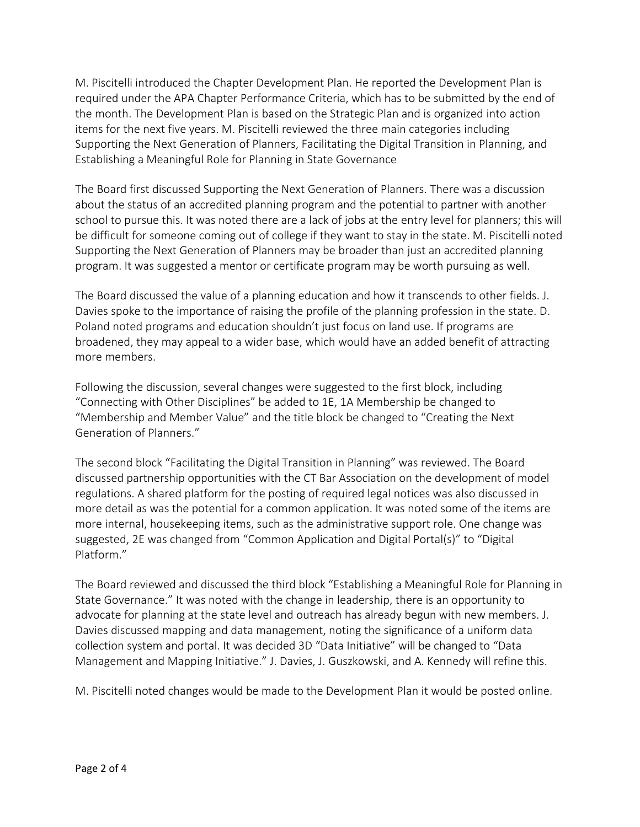M. Piscitelli introduced the Chapter Development Plan. He reported the Development Plan is required under the APA Chapter Performance Criteria, which has to be submitted by the end of the month. The Development Plan is based on the Strategic Plan and is organized into action items for the next five years. M. Piscitelli reviewed the three main categories including Supporting the Next Generation of Planners, Facilitating the Digital Transition in Planning, and Establishing a Meaningful Role for Planning in State Governance

The Board first discussed Supporting the Next Generation of Planners. There was a discussion about the status of an accredited planning program and the potential to partner with another school to pursue this. It was noted there are a lack of jobs at the entry level for planners; this will be difficult for someone coming out of college if they want to stay in the state. M. Piscitelli noted Supporting the Next Generation of Planners may be broader than just an accredited planning program. It was suggested a mentor or certificate program may be worth pursuing as well.

The Board discussed the value of a planning education and how it transcends to other fields. J. Davies spoke to the importance of raising the profile of the planning profession in the state. D. Poland noted programs and education shouldn't just focus on land use. If programs are broadened, they may appeal to a wider base, which would have an added benefit of attracting more members.

Following the discussion, several changes were suggested to the first block, including "Connecting with Other Disciplines" be added to 1E, 1A Membership be changed to "Membership and Member Value" and the title block be changed to "Creating the Next Generation of Planners."

The second block "Facilitating the Digital Transition in Planning" was reviewed. The Board discussed partnership opportunities with the CT Bar Association on the development of model regulations. A shared platform for the posting of required legal notices was also discussed in more detail as was the potential for a common application. It was noted some of the items are more internal, housekeeping items, such as the administrative support role. One change was suggested, 2E was changed from "Common Application and Digital Portal(s)" to "Digital Platform."

The Board reviewed and discussed the third block "Establishing a Meaningful Role for Planning in State Governance." It was noted with the change in leadership, there is an opportunity to advocate for planning at the state level and outreach has already begun with new members. J. Davies discussed mapping and data management, noting the significance of a uniform data collection system and portal. It was decided 3D "Data Initiative" will be changed to "Data Management and Mapping Initiative." J. Davies, J. Guszkowski, and A. Kennedy will refine this.

M. Piscitelli noted changes would be made to the Development Plan it would be posted online.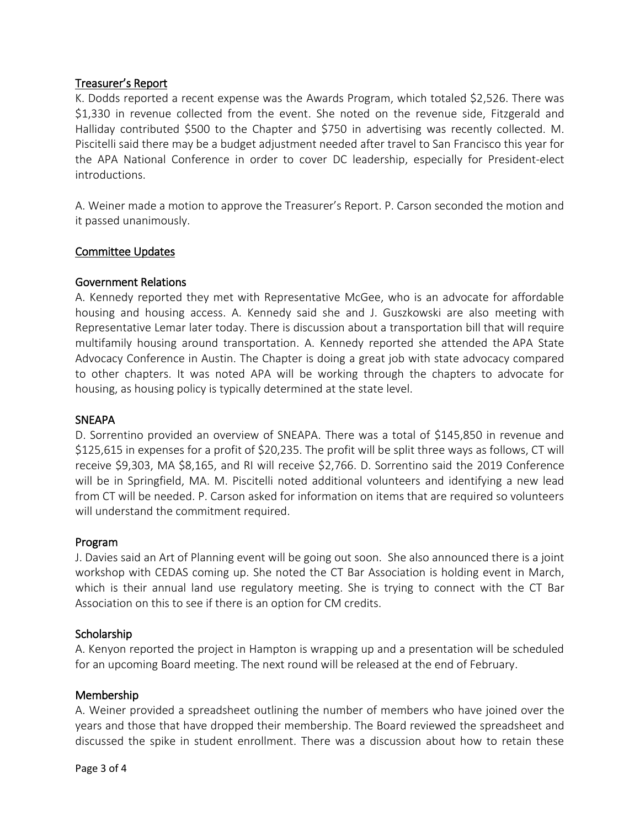#### Treasurer's Report

K. Dodds reported a recent expense was the Awards Program, which totaled \$2,526. There was \$1,330 in revenue collected from the event. She noted on the revenue side, Fitzgerald and Halliday contributed \$500 to the Chapter and \$750 in advertising was recently collected. M. Piscitelli said there may be a budget adjustment needed after travel to San Francisco this year for the APA National Conference in order to cover DC leadership, especially for President-elect introductions.

A. Weiner made a motion to approve the Treasurer's Report. P. Carson seconded the motion and it passed unanimously.

#### Committee Updates

#### Government Relations

A. Kennedy reported they met with Representative McGee, who is an advocate for affordable housing and housing access. A. Kennedy said she and J. Guszkowski are also meeting with Representative Lemar later today. There is discussion about a transportation bill that will require multifamily housing around transportation. A. Kennedy reported she attended the APA State Advocacy Conference in Austin. The Chapter is doing a great job with state advocacy compared to other chapters. It was noted APA will be working through the chapters to advocate for housing, as housing policy is typically determined at the state level.

#### **SNEAPA**

D. Sorrentino provided an overview of SNEAPA. There was a total of \$145,850 in revenue and \$125,615 in expenses for a profit of \$20,235. The profit will be split three ways as follows, CT will receive \$9,303, MA \$8,165, and RI will receive \$2,766. D. Sorrentino said the 2019 Conference will be in Springfield, MA. M. Piscitelli noted additional volunteers and identifying a new lead from CT will be needed. P. Carson asked for information on items that are required so volunteers will understand the commitment required.

#### Program

J. Davies said an Art of Planning event will be going out soon. She also announced there is a joint workshop with CEDAS coming up. She noted the CT Bar Association is holding event in March, which is their annual land use regulatory meeting. She is trying to connect with the CT Bar Association on this to see if there is an option for CM credits.

#### **Scholarship**

A. Kenyon reported the project in Hampton is wrapping up and a presentation will be scheduled for an upcoming Board meeting. The next round will be released at the end of February.

#### Membership

A. Weiner provided a spreadsheet outlining the number of members who have joined over the years and those that have dropped their membership. The Board reviewed the spreadsheet and discussed the spike in student enrollment. There was a discussion about how to retain these